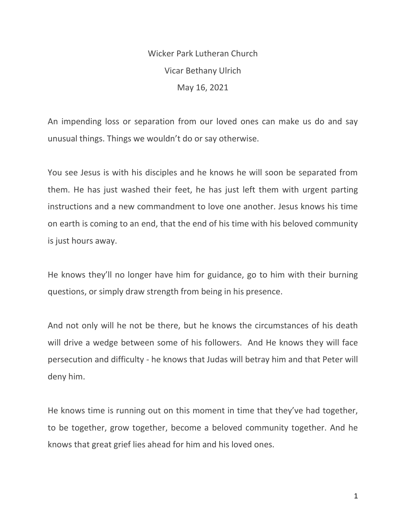Wicker Park Lutheran Church Vicar Bethany Ulrich May 16, 2021

An impending loss or separation from our loved ones can make us do and say unusual things. Things we wouldn't do or say otherwise.

You see Jesus is with his disciples and he knows he will soon be separated from them. He has just washed their feet, he has just left them with urgent parting instructions and a new commandment to love one another. Jesus knows his time on earth is coming to an end, that the end of his time with his beloved community is just hours away.

He knows they'll no longer have him for guidance, go to him with their burning questions, or simply draw strength from being in his presence.

And not only will he not be there, but he knows the circumstances of his death will drive a wedge between some of his followers. And He knows they will face persecution and difficulty - he knows that Judas will betray him and that Peter will deny him.

He knows time is running out on this moment in time that they've had together, to be together, grow together, become a beloved community together. And he knows that great grief lies ahead for him and his loved ones.

1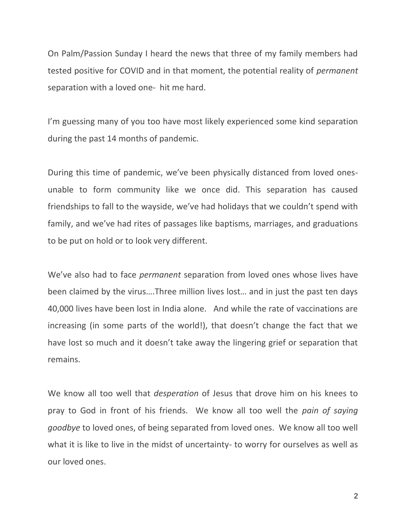On Palm/Passion Sunday I heard the news that three of my family members had tested positive for COVID and in that moment, the potential reality of *permanent*  separation with a loved one- hit me hard.

I'm guessing many of you too have most likely experienced some kind separation during the past 14 months of pandemic.

During this time of pandemic, we've been physically distanced from loved onesunable to form community like we once did. This separation has caused friendships to fall to the wayside, we've had holidays that we couldn't spend with family, and we've had rites of passages like baptisms, marriages, and graduations to be put on hold or to look very different.

We've also had to face *permanent* separation from loved ones whose lives have been claimed by the virus….Three million lives lost… and in just the past ten days 40,000 lives have been lost in India alone. And while the rate of vaccinations are increasing (in some parts of the world!), that doesn't change the fact that we have lost so much and it doesn't take away the lingering grief or separation that remains.

We know all too well that *desperation* of Jesus that drove him on his knees to pray to God in front of his friends. We know all too well the *pain of saying goodbye* to loved ones, of being separated from loved ones. We know all too well what it is like to live in the midst of uncertainty- to worry for ourselves as well as our loved ones.

2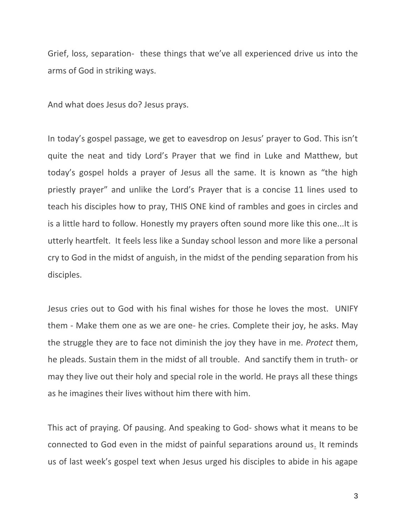Grief, loss, separation- these things that we've all experienced drive us into the arms of God in striking ways.

And what does Jesus do? Jesus prays.

In today's gospel passage, we get to eavesdrop on Jesus' prayer to God. This isn't quite the neat and tidy Lord's Prayer that we find in Luke and Matthew, but today's gospel holds a prayer of Jesus all the same. It is known as "the high priestly prayer" and unlike the Lord's Prayer that is a concise 11 lines used to teach his disciples how to pray, THIS ONE kind of rambles and goes in circles and is a little hard to follow. Honestly my prayers often sound more like this one...It is utterly heartfelt. It feels less like a Sunday school lesson and more like a personal cry to God in the midst of anguish, in the midst of the pending separation from his disciples.

Jesus cries out to God with his final wishes for those he loves the most. UNIFY them - Make them one as we are one- he cries. Complete their joy, he asks. May the struggle they are to face not diminish the joy they have in me. *Protect* them, he pleads. Sustain them in the midst of all trouble. And sanctify them in truth- or may they live out their holy and special role in the world. He prays all these things as he imagines their lives without him there with him.

This act of praying. Of pausing. And speaking to God- shows what it means to be connected to God even in the midst of painful separations around us. It reminds us of last week's gospel text when Jesus urged his disciples to abide in his agape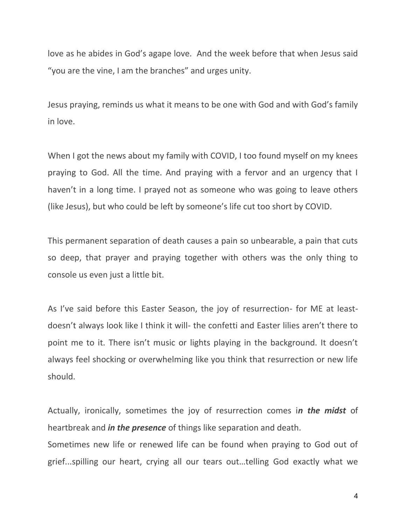love as he abides in God's agape love. And the week before that when Jesus said "you are the vine, I am the branches" and urges unity.

Jesus praying, reminds us what it means to be one with God and with God's family in love.

When I got the news about my family with COVID, I too found myself on my knees praying to God. All the time. And praying with a fervor and an urgency that I haven't in a long time. I prayed not as someone who was going to leave others (like Jesus), but who could be left by someone's life cut too short by COVID.

This permanent separation of death causes a pain so unbearable, a pain that cuts so deep, that prayer and praying together with others was the only thing to console us even just a little bit.

As I've said before this Easter Season, the joy of resurrection- for ME at leastdoesn't always look like I think it will- the confetti and Easter lilies aren't there to point me to it. There isn't music or lights playing in the background. It doesn't always feel shocking or overwhelming like you think that resurrection or new life should.

Actually, ironically, sometimes the joy of resurrection comes i*n the midst* of heartbreak and *in the presence* of things like separation and death.

Sometimes new life or renewed life can be found when praying to God out of grief...spilling our heart, crying all our tears out…telling God exactly what we

4